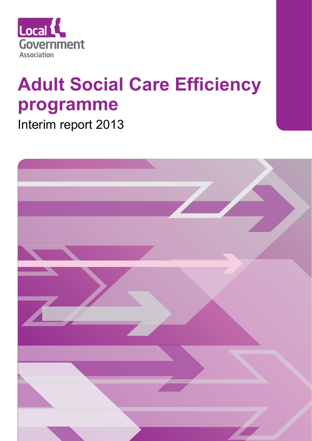

# **Adult Social Care Efficiency programme**

Interim report 2013

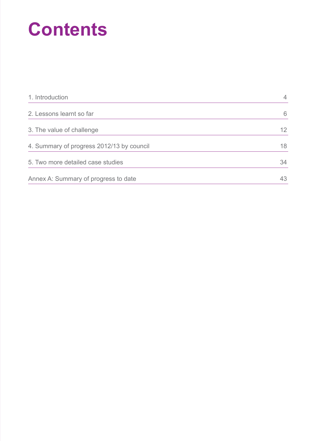# **Contents**

| 1. Introduction                           | $\overline{4}$ |
|-------------------------------------------|----------------|
| 2. Lessons learnt so far                  | 6              |
| 3. The value of challenge                 | 12             |
| 4. Summary of progress 2012/13 by council | 18             |
| 5. Two more detailed case studies         | 34             |
| Annex A: Summary of progress to date      | 43             |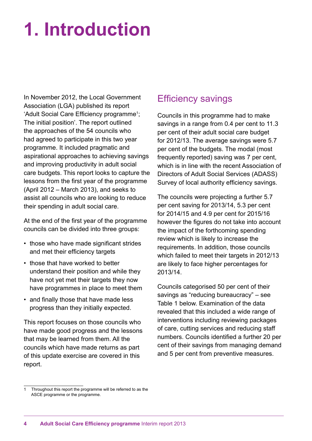# **1. Introduction**

In November 2012, the Local Government Association (LGA) published its report 'Adult Social Care Efficiency programme<sup>1</sup>; The initial position'. The report outlined the approaches of the 54 councils who had agreed to participate in this two year programme. It included pragmatic and aspirational approaches to achieving savings and improving productivity in adult social care budgets. This report looks to capture the lessons from the first year of the programme (April 2012 – March 2013), and seeks to assist all councils who are looking to reduce their spending in adult social care.

At the end of the first year of the programme councils can be divided into three groups:

- those who have made significant strides and met their efficiency targets
- those that have worked to better understand their position and while they have not yet met their targets they now have programmes in place to meet them
- and finally those that have made less progress than they initially expected.

This report focuses on those councils who have made good progress and the lessons that may be learned from them. All the councils which have made returns as part of this update exercise are covered in this report.

## Efficiency savings

Councils in this programme had to make savings in a range from 0.4 per cent to 11.3 per cent of their adult social care budget for 2012/13. The average savings were 5.7 per cent of the budgets. The modal (most frequently reported) saving was 7 per cent, which is in line with the recent Association of Directors of Adult Social Services (ADASS) Survey of local authority efficiency savings.

The councils were projecting a further 5.7 per cent saving for 2013/14, 5.3 per cent for 2014/15 and 4.9 per cent for 2015/16 however the figures do not take into account the impact of the forthcoming spending review which is likely to increase the requirements. In addition, those councils which failed to meet their targets in 2012/13 are likely to face higher percentages for 2013/14.

Councils categorised 50 per cent of their savings as "reducing bureaucracy" – see Table 1 below. Examination of the data revealed that this included a wide range of interventions including reviewing packages of care, cutting services and reducing staff numbers. Councils identified a further 20 per cent of their savings from managing demand and 5 per cent from preventive measures.

Throughout this report the programme will be referred to as the ASCE programme or the programme.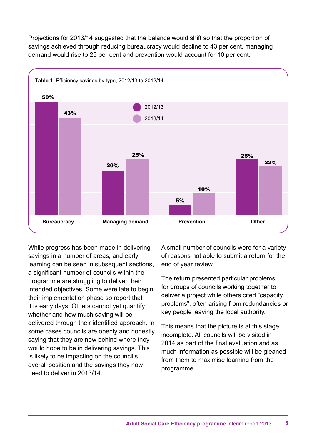Projections for 2013/14 suggested that the balance would shift so that the proportion of savings achieved through reducing bureaucracy would decline to 43 per cent, managing demand would rise to 25 per cent and prevention would account for 10 per cent.



While progress has been made in delivering savings in a number of areas, and early learning can be seen in subsequent sections, a significant number of councils within the programme are struggling to deliver their intended objectives. Some were late to begin their implementation phase so report that it is early days. Others cannot yet quantify whether and how much saving will be delivered through their identified approach. In some cases councils are openly and honestly saying that they are now behind where they would hope to be in delivering savings. This is likely to be impacting on the council's overall position and the savings they now need to deliver in 2013/14.

A small number of councils were for a variety of reasons not able to submit a return for the end of year review.

The return presented particular problems for groups of councils working together to deliver a project while others cited "capacity problems", often arising from redundancies or key people leaving the local authority.

This means that the picture is at this stage incomplete. All councils will be visited in 2014 as part of the final evaluation and as much information as possible will be gleaned from them to maximise learning from the programme.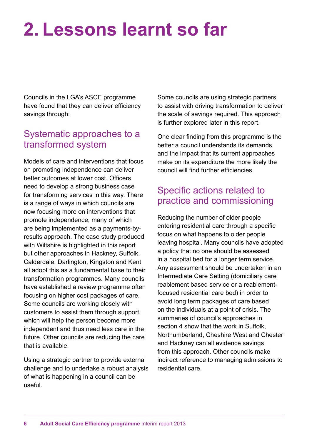# **2. Lessons learnt so far**

Councils in the LGA's ASCE programme have found that they can deliver efficiency savings through:

## Systematic approaches to a transformed system

Models of care and interventions that focus on promoting independence can deliver better outcomes at lower cost. Officers need to develop a strong business case for transforming services in this way. There is a range of ways in which councils are now focusing more on interventions that promote independence, many of which are being implemented as a payments-byresults approach. The case study produced with Wiltshire is highlighted in this report but other approaches in Hackney, Suffolk, Calderdale, Darlington, Kingston and Kent all adopt this as a fundamental base to their transformation programmes. Many councils have established a review programme often focusing on higher cost packages of care. Some councils are working closely with customers to assist them through support which will help the person become more independent and thus need less care in the future. Other councils are reducing the care that is available.

Using a strategic partner to provide external challenge and to undertake a robust analysis of what is happening in a council can be useful.

Some councils are using strategic partners to assist with driving transformation to deliver the scale of savings required. This approach is further explored later in this report.

One clear finding from this programme is the better a council understands its demands and the impact that its current approaches make on its expenditure the more likely the council will find further efficiencies.

## Specific actions related to practice and commissioning

Reducing the number of older people entering residential care through a specific focus on what happens to older people leaving hospital. Many councils have adopted a policy that no one should be assessed in a hospital bed for a longer term service. Any assessment should be undertaken in an Intermediate Care Setting (domiciliary care reablement based service or a reablementfocused residential care bed) in order to avoid long term packages of care based on the individuals at a point of crisis. The summaries of council's approaches in section 4 show that the work in Suffolk. Northumberland, Cheshire West and Chester and Hackney can all evidence savings from this approach. Other councils make indirect reference to managing admissions to residential care.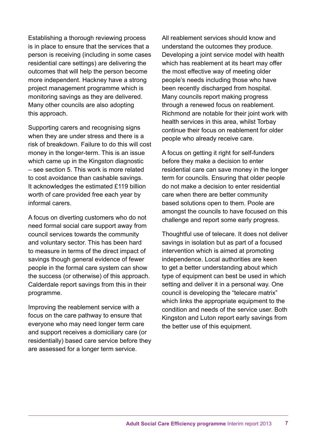Establishing a thorough reviewing process is in place to ensure that the services that a person is receiving (including in some cases residential care settings) are delivering the outcomes that will help the person become more independent. Hackney have a strong project management programme which is monitoring savings as they are delivered. Many other councils are also adopting this approach.

Supporting carers and recognising signs when they are under stress and there is a risk of breakdown. Failure to do this will cost money in the longer-term. This is an issue which came up in the Kingston diagnostic – see section 5. This work is more related to cost avoidance than cashable savings. It acknowledges the estimated £119 billion worth of care provided free each year by informal carers.

A focus on diverting customers who do not need formal social care support away from council services towards the community and voluntary sector. This has been hard to measure in terms of the direct impact of savings though general evidence of fewer people in the formal care system can show the success (or otherwise) of this approach. Calderdale report savings from this in their programme.

Improving the reablement service with a focus on the care pathway to ensure that everyone who may need longer term care and support receives a domiciliary care (or residentially) based care service before they are assessed for a longer term service.

All reablement services should know and understand the outcomes they produce. Developing a joint service model with health which has reablement at its heart may offer the most effective way of meeting older people's needs including those who have been recently discharged from hospital. Many councils report making progress through a renewed focus on reablement. Richmond are notable for their joint work with health services in this area, whilst Torbay continue their focus on reablement for older people who already receive care.

A focus on getting it right for self-funders before they make a decision to enter residential care can save money in the longer term for councils. Ensuring that older people do not make a decision to enter residential care when there are better community based solutions open to them. Poole are amongst the councils to have focused on this challenge and report some early progress.

Thoughtful use of telecare. It does not deliver savings in isolation but as part of a focused intervention which is aimed at promoting independence. Local authorities are keen to get a better understanding about which type of equipment can best be used in which setting and deliver it in a personal way. One council is developing the "telecare matrix" which links the appropriate equipment to the condition and needs of the service user. Both Kingston and Luton report early savings from the better use of this equipment.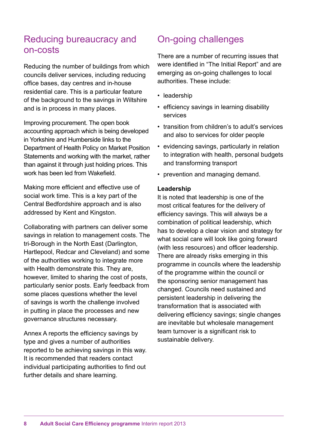### Reducing bureaucracy and on-costs

Reducing the number of buildings from which councils deliver services, including reducing office bases, day centres and in-house residential care. This is a particular feature of the background to the savings in Wiltshire and is in process in many places.

Improving procurement. The open book accounting approach which is being developed in Yorkshire and Humberside links to the Department of Health Policy on Market Position Statements and working with the market, rather than against it through just holding prices. This work has been led from Wakefield.

Making more efficient and effective use of social work time. This is a key part of the Central Bedfordshire approach and is also addressed by Kent and Kingston.

Collaborating with partners can deliver some savings in relation to management costs. The tri-Borough in the North East (Darlington, Hartlepool, Redcar and Cleveland) and some of the authorities working to integrate more with Health demonstrate this. They are, however, limited to sharing the cost of posts, particularly senior posts. Early feedback from some places questions whether the level of savings is worth the challenge involved in putting in place the processes and new governance structures necessary.

Annex A reports the efficiency savings by type and gives a number of authorities reported to be achieving savings in this way. It is recommended that readers contact individual participating authorities to find out further details and share learning.

# On-going challenges

There are a number of recurring issues that were identified in "The Initial Report" and are emerging as on-going challenges to local authorities. These include:

- leadership
- efficiency savings in learning disability services
- transition from children's to adult's services and also to services for older people
- evidencing savings, particularly in relation to integration with health, personal budgets and transforming transport
- prevention and managing demand.

#### **Leadership**

It is noted that leadership is one of the most critical features for the delivery of efficiency savings. This will always be a combination of political leadership, which has to develop a clear vision and strategy for what social care will look like going forward (with less resources) and officer leadership. There are already risks emerging in this programme in councils where the leadership of the programme within the council or the sponsoring senior management has changed. Councils need sustained and persistent leadership in delivering the transformation that is associated with delivering efficiency savings; single changes are inevitable but wholesale management team turnover is a significant risk to sustainable delivery.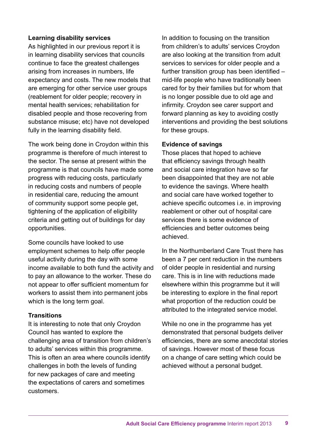#### **Learning disability services**

As highlighted in our previous report it is in learning disability services that councils continue to face the greatest challenges arising from increases in numbers, life expectancy and costs. The new models that are emerging for other service user groups (reablement for older people; recovery in mental health services; rehabilitation for disabled people and those recovering from substance misuse; etc) have not developed fully in the learning disability field.

The work being done in Croydon within this programme is therefore of much interest to the sector. The sense at present within the programme is that councils have made some progress with reducing costs, particularly in reducing costs and numbers of people in residential care, reducing the amount of community support some people get, tightening of the application of eligibility criteria and getting out of buildings for day opportunities.

Some councils have looked to use employment schemes to help offer people useful activity during the day with some income available to both fund the activity and to pay an allowance to the worker. These do not appear to offer sufficient momentum for workers to assist them into permanent jobs which is the long term goal.

#### **Transitions**

It is interesting to note that only Croydon Council has wanted to explore the challenging area of transition from children's to adults' services within this programme. This is often an area where councils identify challenges in both the levels of funding for new packages of care and meeting the expectations of carers and sometimes customers.

In addition to focusing on the transition from children's to adults' services Croydon are also looking at the transition from adult services to services for older people and a further transition group has been identified – mid-life people who have traditionally been cared for by their families but for whom that is no longer possible due to old age and infirmity. Croydon see carer support and forward planning as key to avoiding costly interventions and providing the best solutions for these groups.

#### **Evidence of savings**

Those places that hoped to achieve that efficiency savings through health and social care integration have so far been disappointed that they are not able to evidence the savings. Where health and social care have worked together to achieve specific outcomes i.e. in improving reablement or other out of hospital care services there is some evidence of efficiencies and better outcomes being achieved.

In the Northumberland Care Trust there has been a 7 per cent reduction in the numbers of older people in residential and nursing care. This is in line with reductions made elsewhere within this programme but it will be interesting to explore in the final report what proportion of the reduction could be attributed to the integrated service model.

While no one in the programme has yet demonstrated that personal budgets deliver efficiencies, there are some anecdotal stories of savings. However most of these focus on a change of care setting which could be achieved without a personal budget.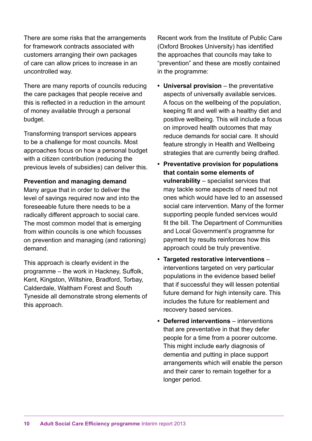There are some risks that the arrangements for framework contracts associated with customers arranging their own packages of care can allow prices to increase in an uncontrolled way.

There are many reports of councils reducing the care packages that people receive and this is reflected in a reduction in the amount of money available through a personal budget.

Transforming transport services appears to be a challenge for most councils. Most approaches focus on how a personal budget with a citizen contribution (reducing the previous levels of subsidies) can deliver this.

#### **Prevention and managing demand**

Many argue that in order to deliver the level of savings required now and into the foreseeable future there needs to be a radically different approach to social care. The most common model that is emerging from within councils is one which focusses on prevention and managing (and rationing) demand.

This approach is clearly evident in the programme – the work in Hackney, Suffolk, Kent, Kingston, Wiltshire, Bradford, Torbay, Calderdale, Waltham Forest and South Tyneside all demonstrate strong elements of this approach.

Recent work from the Institute of Public Care (Oxford Brookes University) has identified the approaches that councils may take to "prevention" and these are mostly contained in the programme:

- **• Universal provision** the preventative aspects of universally available services. A focus on the wellbeing of the population, keeping fit and well with a healthy diet and positive wellbeing. This will include a focus on improved health outcomes that may reduce demands for social care. It should feature strongly in Health and Wellbeing strategies that are currently being drafted.
- **• Preventative provision for populations that contain some elements of vulnerability** – specialist services that may tackle some aspects of need but not ones which would have led to an assessed social care intervention. Many of the former supporting people funded services would fit the bill. The Department of Communities and Local Government's programme for payment by results reinforces how this approach could be truly preventive.
- **• Targeted restorative interventions** interventions targeted on very particular populations in the evidence based belief that if successful they will lessen potential future demand for high intensity care. This includes the future for reablement and recovery based services.
- **• Deferred interventions** interventions that are preventative in that they defer people for a time from a poorer outcome. This might include early diagnosis of dementia and putting in place support arrangements which will enable the person and their carer to remain together for a longer period.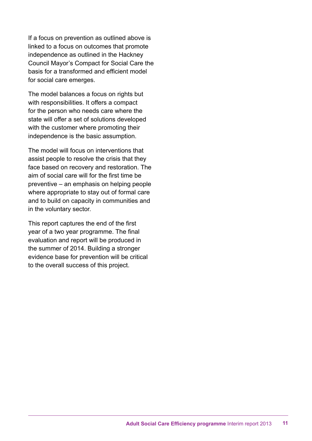If a focus on prevention as outlined above is linked to a focus on outcomes that promote independence as outlined in the Hackney Council Mayor's Compact for Social Care the basis for a transformed and efficient model for social care emerges.

The model balances a focus on rights but with responsibilities. It offers a compact for the person who needs care where the state will offer a set of solutions developed with the customer where promoting their independence is the basic assumption.

The model will focus on interventions that assist people to resolve the crisis that they face based on recovery and restoration. The aim of social care will for the first time be preventive – an emphasis on helping people where appropriate to stay out of formal care and to build on capacity in communities and in the voluntary sector.

This report captures the end of the first year of a two year programme. The final evaluation and report will be produced in the summer of 2014. Building a stronger evidence base for prevention will be critical to the overall success of this project.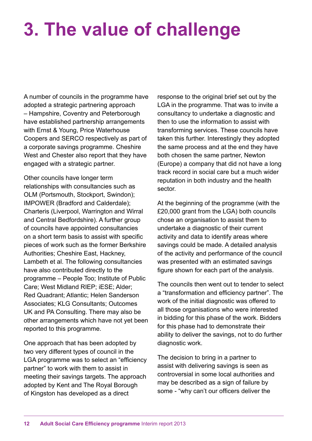# **3. The value of challenge**

A number of councils in the programme have adopted a strategic partnering approach – Hampshire, Coventry and Peterborough have established partnership arrangements with Ernst & Young, Price Waterhouse Coopers and SERCO respectively as part of a corporate savings programme. Cheshire West and Chester also report that they have engaged with a strategic partner.

Other councils have longer term relationships with consultancies such as OLM (Portsmouth, Stockport, Swindon); IMPOWER (Bradford and Calderdale); Charteris (Liverpool, Warrington and Wirral and Central Bedfordshire). A further group of councils have appointed consultancies on a short term basis to assist with specific pieces of work such as the former Berkshire Authorities; Cheshire East, Hackney, Lambeth et al. The following consultancies have also contributed directly to the programme – People Too; Institute of Public Care; West Midland RIEP; iESE; Alder; Red Quadrant; Atlantic; Helen Sanderson Associates; KLG Consultants; Outcomes UK and PA Consulting. There may also be other arrangements which have not yet been reported to this programme.

One approach that has been adopted by two very different types of council in the LGA programme was to select an "efficiency partner" to work with them to assist in meeting their savings targets. The approach adopted by Kent and The Royal Borough of Kingston has developed as a direct

response to the original brief set out by the LGA in the programme. That was to invite a consultancy to undertake a diagnostic and then to use the information to assist with transforming services. These councils have taken this further. Interestingly they adopted the same process and at the end they have both chosen the same partner, Newton (Europe) a company that did not have a long track record in social care but a much wider reputation in both industry and the health sector.

At the beginning of the programme (with the £20,000 grant from the LGA) both councils chose an organisation to assist them to undertake a diagnostic of their current activity and data to identify areas where savings could be made. A detailed analysis of the activity and performance of the council was presented with an estimated savings figure shown for each part of the analysis.

The councils then went out to tender to select a "transformation and efficiency partner". The work of the initial diagnostic was offered to all those organisations who were interested in bidding for this phase of the work. Bidders for this phase had to demonstrate their ability to deliver the savings, not to do further diagnostic work.

The decision to bring in a partner to assist with delivering savings is seen as controversial in some local authorities and may be described as a sign of failure by some - "why can't our officers deliver the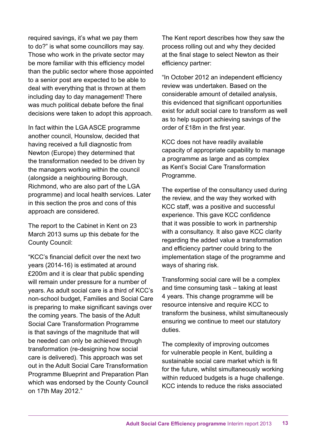required savings, it's what we pay them to do?" is what some councillors may say. Those who work in the private sector may be more familiar with this efficiency model than the public sector where those appointed to a senior post are expected to be able to deal with everything that is thrown at them including day to day management! There was much political debate before the final decisions were taken to adopt this approach.

In fact within the LGA ASCE programme another council, Hounslow, decided that having received a full diagnostic from Newton (Europe) they determined that the transformation needed to be driven by the managers working within the council (alongside a neighbouring Borough, Richmond, who are also part of the LGA programme) and local health services. Later in this section the pros and cons of this approach are considered.

The report to the Cabinet in Kent on 23 March 2013 sums up this debate for the County Council:

"KCC's financial deficit over the next two years (2014-16) is estimated at around £200m and it is clear that public spending will remain under pressure for a number of years. As adult social care is a third of KCC's non-school budget, Families and Social Care is preparing to make significant savings over the coming years. The basis of the Adult Social Care Transformation Programme is that savings of the magnitude that will be needed can only be achieved through transformation (re-designing how social care is delivered). This approach was set out in the Adult Social Care Transformation Programme Blueprint and Preparation Plan which was endorsed by the County Council on 17th May 2012."

The Kent report describes how they saw the process rolling out and why they decided at the final stage to select Newton as their efficiency partner:

"In October 2012 an independent efficiency review was undertaken. Based on the considerable amount of detailed analysis, this evidenced that significant opportunities exist for adult social care to transform as well as to help support achieving savings of the order of £18m in the first year.

KCC does not have readily available capacity of appropriate capability to manage a programme as large and as complex as Kent's Social Care Transformation Programme.

The expertise of the consultancy used during the review, and the way they worked with KCC staff, was a positive and successful experience. This gave KCC confidence that it was possible to work in partnership with a consultancy. It also gave KCC clarity regarding the added value a transformation and efficiency partner could bring to the implementation stage of the programme and ways of sharing risk.

Transforming social care will be a complex and time consuming task – taking at least 4 years. This change programme will be resource intensive and require KCC to transform the business, whilst simultaneously ensuring we continue to meet our statutory duties.

The complexity of improving outcomes for vulnerable people in Kent, building a sustainable social care market which is fit for the future, whilst simultaneously working within reduced budgets is a huge challenge. KCC intends to reduce the risks associated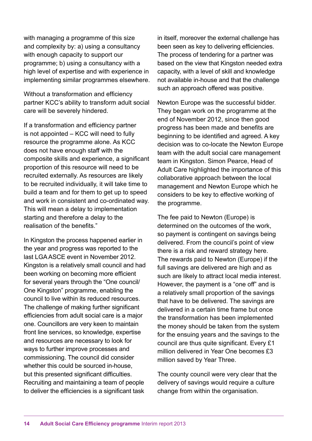with managing a programme of this size and complexity by: a) using a consultancy with enough capacity to support our programme; b) using a consultancy with a high level of expertise and with experience in implementing similar programmes elsewhere.

Without a transformation and efficiency partner KCC's ability to transform adult social care will be severely hindered.

If a transformation and efficiency partner is not appointed – KCC will need to fully resource the programme alone. As KCC does not have enough staff with the composite skills and experience, a significant proportion of this resource will need to be recruited externally. As resources are likely to be recruited individually, it will take time to build a team and for them to get up to speed and work in consistent and co-ordinated way. This will mean a delay to implementation starting and therefore a delay to the realisation of the benefits."

In Kingston the process happened earlier in the year and progress was reported to the last LGA ASCE event in November 2012. Kingston is a relatively small council and had been working on becoming more efficient for several years through the "One council/ One Kingston" programme, enabling the council to live within its reduced resources. The challenge of making further significant efficiencies from adult social care is a major one. Councillors are very keen to maintain front line services, so knowledge, expertise and resources are necessary to look for ways to further improve processes and commissioning. The council did consider whether this could be sourced in-house. but this presented significant difficulties. Recruiting and maintaining a team of people to deliver the efficiencies is a significant task

in itself, moreover the external challenge has been seen as key to delivering efficiencies. The process of tendering for a partner was based on the view that Kingston needed extra capacity, with a level of skill and knowledge not available in-house and that the challenge such an approach offered was positive.

Newton Europe was the successful bidder. They began work on the programme at the end of November 2012, since then good progress has been made and benefits are beginning to be identified and agreed. A key decision was to co-locate the Newton Europe team with the adult social care management team in Kingston. Simon Pearce, Head of Adult Care highlighted the importance of this collaborative approach between the local management and Newton Europe which he considers to be key to effective working of the programme.

The fee paid to Newton (Europe) is determined on the outcomes of the work, so payment is contingent on savings being delivered. From the council's point of view there is a risk and reward strategy here. The rewards paid to Newton (Europe) if the full savings are delivered are high and as such are likely to attract local media interest. However, the payment is a "one off" and is a relatively small proportion of the savings that have to be delivered. The savings are delivered in a certain time frame but once the transformation has been implemented the money should be taken from the system for the ensuing years and the savings to the council are thus quite significant. Every £1 million delivered in Year One becomes £3 million saved by Year Three.

The county council were very clear that the delivery of savings would require a culture change from within the organisation.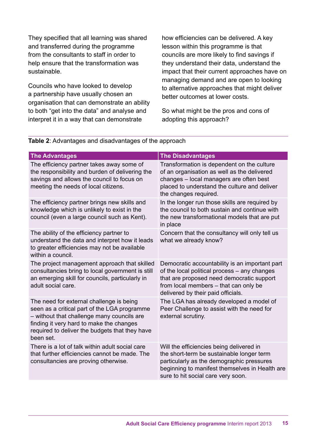They specified that all learning was shared and transferred during the programme from the consultants to staff in order to help ensure that the transformation was sustainable.

Councils who have looked to develop a partnership have usually chosen an organisation that can demonstrate an ability to both "get into the data" and analyse and interpret it in a way that can demonstrate

how efficiencies can be delivered. A key lesson within this programme is that councils are more likely to find savings if they understand their data, understand the impact that their current approaches have on managing demand and are open to looking to alternative approaches that might deliver better outcomes at lower costs.

So what might be the pros and cons of adopting this approach?

| <b>The Advantages</b>                                                                                                                                                                                                                             | <b>The Disadvantages</b>                                                                                                                                                                                                   |
|---------------------------------------------------------------------------------------------------------------------------------------------------------------------------------------------------------------------------------------------------|----------------------------------------------------------------------------------------------------------------------------------------------------------------------------------------------------------------------------|
| The efficiency partner takes away some of<br>the responsibility and burden of delivering the<br>savings and allows the council to focus on<br>meeting the needs of local citizens.                                                                | Transformation is dependent on the culture<br>of an organisation as well as the delivered<br>changes - local managers are often best<br>placed to understand the culture and deliver<br>the changes required.              |
| The efficiency partner brings new skills and<br>knowledge which is unlikely to exist in the<br>council (even a large council such as Kent).                                                                                                       | In the longer run those skills are required by<br>the council to both sustain and continue with<br>the new transformational models that are put<br>in place                                                                |
| The ability of the efficiency partner to<br>understand the data and interpret how it leads<br>to greater efficiencies may not be available<br>within a council.                                                                                   | Concern that the consultancy will only tell us<br>what we already know?                                                                                                                                                    |
| The project management approach that skilled<br>consultancies bring to local government is still<br>an emerging skill for councils, particularly in<br>adult social care.                                                                         | Democratic accountability is an important part<br>of the local political process - any changes<br>that are proposed need democratic support<br>from local members - that can only be<br>delivered by their paid officials. |
| The need for external challenge is being<br>seen as a critical part of the LGA programme<br>- without that challenge many councils are<br>finding it very hard to make the changes<br>required to deliver the budgets that they have<br>been set. | The LGA has already developed a model of<br>Peer Challenge to assist with the need for<br>external scrutiny.                                                                                                               |
| There is a lot of talk within adult social care<br>that further efficiencies cannot be made. The<br>consultancies are proving otherwise.                                                                                                          | Will the efficiencies being delivered in<br>the short-term be sustainable longer term<br>particularly as the demographic pressures<br>beginning to manifest themselves in Health are<br>sure to hit social care very soon. |

#### **Table 2**: Advantages and disadvantages of the approach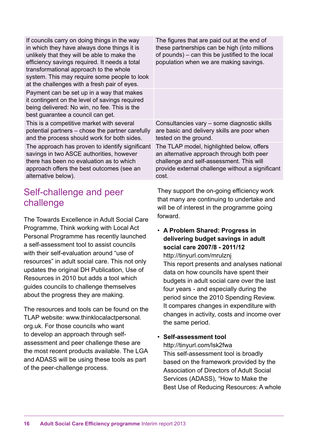| If councils carry on doing things in the way<br>in which they have always done things it is<br>unlikely that they will be able to make the<br>efficiency savings required. It needs a total<br>transformational approach to the whole<br>system. This may require some people to look<br>at the challenges with a fresh pair of eyes. | The figures that are paid out at the end of<br>these partnerships can be high (into millions<br>of pounds) – can this be justified to the local<br>population when we are making savings.       |
|---------------------------------------------------------------------------------------------------------------------------------------------------------------------------------------------------------------------------------------------------------------------------------------------------------------------------------------|-------------------------------------------------------------------------------------------------------------------------------------------------------------------------------------------------|
| Payment can be set up in a way that makes<br>it contingent on the level of savings required<br>being delivered: No win, no fee. This is the<br>best guarantee a council can get.                                                                                                                                                      |                                                                                                                                                                                                 |
| This is a competitive market with several<br>potential partners – chose the partner carefully<br>and the process should work for both sides.                                                                                                                                                                                          | Consultancies vary – some diagnostic skills<br>are basic and delivery skills are poor when<br>tested on the ground.                                                                             |
| The approach has proven to identify significant<br>savings in two ASCE authorities, however<br>there has been no evaluation as to which<br>approach offers the best outcomes (see an<br>alternative below).                                                                                                                           | The TLAP model, highlighted below, offers<br>an alternative approach through both peer<br>challenge and self-assessment. This will<br>provide external challenge without a significant<br>cost. |
|                                                                                                                                                                                                                                                                                                                                       |                                                                                                                                                                                                 |

#### Self-challenge and peer challenge

The Towards Excellence in Adult Social Care Programme, Think working with Local Act Personal Programme has recently launched a self-assessment tool to assist councils with their self-evaluation around "use of resources" in adult social care. This not only updates the original DH Publication, Use of Resources in 2010 but adds a tool which guides councils to challenge themselves about the progress they are making.

The resources and tools can be found on the TLAP website: www.thinklocalactpersonal. org.uk. For those councils who want to develop an approach through selfassessment and peer challenge these are the most recent products available. The LGA and ADASS will be using these tools as part of the peer-challenge process.

They support the on-going efficiency work that many are continuing to undertake and will be of interest in the programme going forward.

• **A Problem Shared: Progress in delivering budget savings in adult social care 2007/8 - 2011/12** http://tinyurl.com/mrulznj

This report presents and analyses national data on how councils have spent their budgets in adult social care over the last four years - and especially during the period since the 2010 Spending Review. It compares changes in expenditure with changes in activity, costs and income over the same period.

• **Self-assessment tool**

http://tinyurl.com/lsk2fwa This self-assessment tool is broadly based on the framework provided by the Association of Directors of Adult Social Services (ADASS), "How to Make the Best Use of Reducing Resources: A whole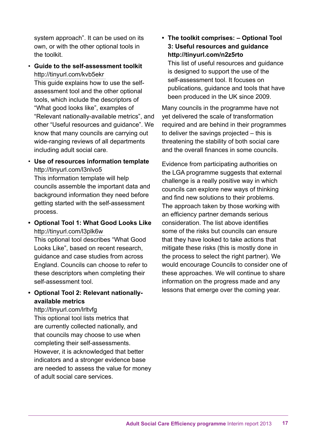system approach". It can be used on its own, or with the other optional tools in the toolkit.

• **Guide to the self-assessment toolkit**  http://tinyurl.com/kvb5ekr

This guide explains how to use the selfassessment tool and the other optional tools, which include the descriptors of "What good looks like", examples of "Relevant nationally-available metrics", and other "Useful resources and guidance". We know that many councils are carrying out wide-ranging reviews of all departments including adult social care.

• **Use of resources information template** http://tinyurl.com/l3nlvo5

This information template will help councils assemble the important data and background information they need before getting started with the self-assessment process.

**• Optional Tool 1: What Good Looks Like** http://tinyurl.com/l3plk6w

This optional tool describes "What Good Looks Like", based on recent research, guidance and case studies from across England. Councils can choose to refer to these descriptors when completing their self-assessment tool.

#### **• Optional Tool 2: Relevant nationallyavailable metrics**

#### http://tinyurl.com/lrltvfg

This optional tool lists metrics that are currently collected nationally, and that councils may choose to use when completing their self-assessments. However, it is acknowledged that better indicators and a stronger evidence base are needed to assess the value for money of adult social care services.

**• The toolkit comprises: – Optional Tool 3: Useful resources and guidance http://tinyurl.com/n2z5rto** 

This list of useful resources and guidance is designed to support the use of the self-assessment tool. It focuses on publications, guidance and tools that have been produced in the UK since 2009.

Many councils in the programme have not yet delivered the scale of transformation required and are behind in their programmes to deliver the savings projected – this is threatening the stability of both social care and the overall finances in some councils.

Evidence from participating authorities on the LGA programme suggests that external challenge is a really positive way in which councils can explore new ways of thinking and find new solutions to their problems. The approach taken by those working with an efficiency partner demands serious consideration. The list above identifies some of the risks but councils can ensure that they have looked to take actions that mitigate these risks (this is mostly done in the process to select the right partner). We would encourage Councils to consider one of these approaches. We will continue to share information on the progress made and any lessons that emerge over the coming year.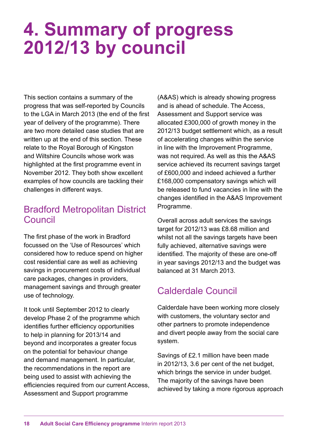# **4. Summary of progress 2012/13 by council**

This section contains a summary of the progress that was self-reported by Councils to the LGA in March 2013 (the end of the first year of delivery of the programme). There are two more detailed case studies that are written up at the end of this section. These relate to the Royal Borough of Kingston and Wiltshire Councils whose work was highlighted at the first programme event in November 2012. They both show excellent examples of how councils are tackling their challenges in different ways.

## Bradford Metropolitan District Council

The first phase of the work in Bradford focussed on the 'Use of Resources' which considered how to reduce spend on higher cost residential care as well as achieving savings in procurement costs of individual care packages, changes in providers, management savings and through greater use of technology.

It took until September 2012 to clearly develop Phase 2 of the programme which identifies further efficiency opportunities to help in planning for 2013/14 and beyond and incorporates a greater focus on the potential for behaviour change and demand management. In particular, the recommendations in the report are being used to assist with achieving the efficiencies required from our current Access, Assessment and Support programme

(A&AS) which is already showing progress and is ahead of schedule. The Access, Assessment and Support service was allocated £300,000 of growth money in the 2012/13 budget settlement which, as a result of accelerating changes within the service in line with the Improvement Programme, was not required. As well as this the A&AS service achieved its recurrent savings target of £600,000 and indeed achieved a further £168,000 compensatory savings which will be released to fund vacancies in line with the changes identified in the A&AS Improvement Programme.

Overall across adult services the savings target for 2012/13 was £8.68 million and whilst not all the savings targets have been fully achieved, alternative savings were identified. The majority of these are one-off in year savings 2012/13 and the budget was balanced at 31 March 2013.

# Calderdale Council

Calderdale have been working more closely with customers, the voluntary sector and other partners to promote independence and divert people away from the social care system.

Savings of £2.1 million have been made in 2012/13, 3.6 per cent of the net budget, which brings the service in under budget. The majority of the savings have been achieved by taking a more rigorous approach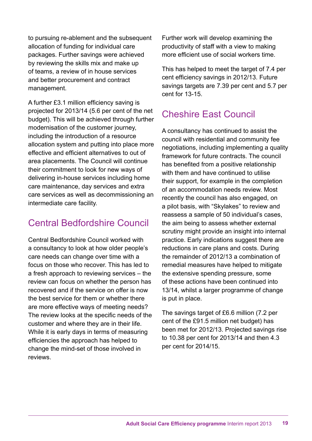to pursuing re-ablement and the subsequent allocation of funding for individual care packages. Further savings were achieved by reviewing the skills mix and make up of teams, a review of in house services and better procurement and contract management.

A further £3.1 million efficiency saving is projected for 2013/14 (5.6 per cent of the net budget). This will be achieved through further modernisation of the customer journey, including the introduction of a resource allocation system and putting into place more effective and efficient alternatives to out of area placements. The Council will continue their commitment to look for new ways of delivering in-house services including home care maintenance, day services and extra care services as well as decommissioning an intermediate care facility.

# Central Bedfordshire Council

Central Bedfordshire Council worked with a consultancy to look at how older people's care needs can change over time with a focus on those who recover. This has led to a fresh approach to reviewing services – the review can focus on whether the person has recovered and if the service on offer is now the best service for them or whether there are more effective ways of meeting needs? The review looks at the specific needs of the customer and where they are in their life. While it is early days in terms of measuring efficiencies the approach has helped to change the mind-set of those involved in reviews.

Further work will develop examining the productivity of staff with a view to making more efficient use of social workers time.

This has helped to meet the target of 7.4 per cent efficiency savings in 2012/13. Future savings targets are 7.39 per cent and 5.7 per cent for 13-15.

# Cheshire East Council

A consultancy has continued to assist the council with residential and community fee negotiations, including implementing a quality framework for future contracts. The council has benefited from a positive relationship with them and have continued to utilise their support, for example in the completion of an accommodation needs review. Most recently the council has also engaged, on a pilot basis, with "Skylakes" to review and reassess a sample of 50 individual's cases, the aim being to assess whether external scrutiny might provide an insight into internal practice. Early indications suggest there are reductions in care plans and costs. During the remainder of 2012/13 a combination of remedial measures have helped to mitigate the extensive spending pressure, some of these actions have been continued into 13/14, whilst a larger programme of change is put in place.

The savings target of £6.6 million (7.2 per cent of the £91.5 million net budget) has been met for 2012/13. Projected savings rise to 10.38 per cent for 2013/14 and then 4.3 per cent for 2014/15.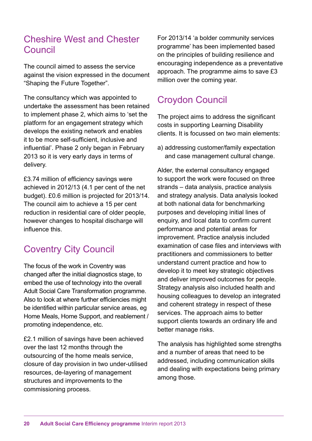### Cheshire West and Chester Council

The council aimed to assess the service against the vision expressed in the document "Shaping the Future Together".

The consultancy which was appointed to undertake the assessment has been retained to implement phase 2, which aims to 'set the platform for an engagement strategy which develops the existing network and enables it to be more self-sufficient, inclusive and influential'. Phase 2 only began in February 2013 so it is very early days in terms of delivery.

£3.74 million of efficiency savings were achieved in 2012/13 (4.1 per cent of the net budget). £0.6 million is projected for 2013/14. The council aim to achieve a 15 per cent reduction in residential care of older people, however changes to hospital discharge will influence this.

# Coventry City Council

The focus of the work in Coventry was changed after the initial diagnostics stage, to embed the use of technology into the overall Adult Social Care Transformation programme. Also to look at where further efficiencies might be identified within particular service areas, eg Home Meals, Home Support, and reablement / promoting independence, etc.

£2.1 million of savings have been achieved over the last 12 months through the outsourcing of the home meals service, closure of day provision in two under-utilised resources, de-layering of management structures and improvements to the commissioning process.

For 2013/14 'a bolder community services programme' has been implemented based on the principles of building resilience and encouraging independence as a preventative approach. The programme aims to save £3 million over the coming year.

## Croydon Council

The project aims to address the significant costs in supporting Learning Disability clients. It is focussed on two main elements:

a) addressing customer/family expectation and case management cultural change.

Alder, the external consultancy engaged to support the work were focused on three strands – data analysis, practice analysis and strategy analysis. Data analysis looked at both national data for benchmarking purposes and developing initial lines of enquiry, and local data to confirm current performance and potential areas for improvement. Practice analysis included examination of case files and interviews with practitioners and commissioners to better understand current practice and how to develop it to meet key strategic objectives and deliver improved outcomes for people. Strategy analysis also included health and housing colleagues to develop an integrated and coherent strategy in respect of these services. The approach aims to better support clients towards an ordinary life and better manage risks.

The analysis has highlighted some strengths and a number of areas that need to be addressed, including communication skills and dealing with expectations being primary among those.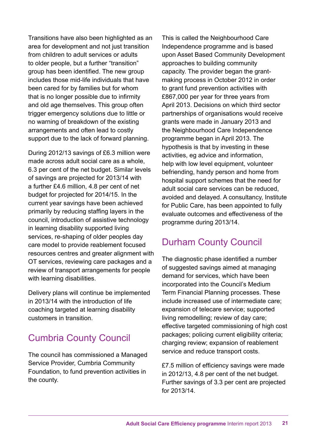Transitions have also been highlighted as an area for development and not just transition from children to adult services or adults to older people, but a further "transition" group has been identified. The new group includes those mid-life individuals that have been cared for by families but for whom that is no longer possible due to infirmity and old age themselves. This group often trigger emergency solutions due to little or no warning of breakdown of the existing arrangements and often lead to costly support due to the lack of forward planning.

During 2012/13 savings of £6.3 million were made across adult social care as a whole, 6.3 per cent of the net budget. Similar levels of savings are projected for 2013/14 with a further £4.6 million, 4.8 per cent of net budget for projected for 2014/15. In the current year savings have been achieved primarily by reducing staffing layers in the council, introduction of assistive technology in learning disability supported living services, re-shaping of older peoples day care model to provide reablement focused resources centres and greater alignment with OT services, reviewing care packages and a review of transport arrangements for people with learning disabilities.

Delivery plans will continue be implemented in 2013/14 with the introduction of life coaching targeted at learning disability customers in transition.

# Cumbria County Council

The council has commissioned a Managed Service Provider, Cumbria Community Foundation, to fund prevention activities in the county.

This is called the Neighbourhood Care Independence programme and is based upon Asset Based Community Development approaches to building community capacity. The provider began the grantmaking process in October 2012 in order to grant fund prevention activities with £867,000 per year for three years from April 2013. Decisions on which third sector partnerships of organisations would receive grants were made in January 2013 and the Neighbourhood Care Independence programme began in April 2013. The hypothesis is that by investing in these activities, eg advice and information, help with low level equipment, volunteer befriending, handy person and home from hospital support schemes that the need for adult social care services can be reduced, avoided and delayed. A consultancy, Institute for Public Care, has been appointed to fully evaluate outcomes and effectiveness of the programme during 2013/14.

# Durham County Council

The diagnostic phase identified a number of suggested savings aimed at managing demand for services, which have been incorporated into the Council's Medium Term Financial Planning processes. These include increased use of intermediate care; expansion of telecare service; supported living remodelling; review of day care; effective targeted commissioning of high cost packages; policing current eligibility criteria; charging review; expansion of reablement service and reduce transport costs.

£7.5 million of efficiency savings were made in 2012/13, 4.8 per cent of the net budget. Further savings of 3.3 per cent are projected for 2013/14.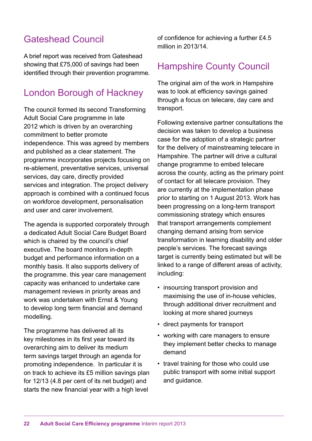# Gateshead Council

A brief report was received from Gateshead showing that £75,000 of savings had been identified through their prevention programme.

## London Borough of Hackney

The council formed its second Transforming Adult Social Care programme in late 2012 which is driven by an overarching commitment to better promote independence. This was agreed by members and published as a clear statement. The programme incorporates projects focusing on re-ablement, preventative services, universal services, day care, directly provided services and integration. The project delivery approach is combined with a continued focus on workforce development, personalisation and user and carer involvement.

The agenda is supported corporately through a dedicated Adult Social Care Budget Board which is chaired by the council's chief executive. The board monitors in-depth budget and performance information on a monthly basis. It also supports delivery of the programme. this year care management capacity was enhanced to undertake care management reviews in priority areas and work was undertaken with Ernst & Young to develop long term financial and demand modelling.

The programme has delivered all its key milestones in its first year toward its overarching aim to deliver its medium term savings target through an agenda for promoting independence. In particular it is on track to achieve its £5 million savings plan for 12/13 (4.8 per cent of its net budget) and starts the new financial year with a high level

of confidence for achieving a further £4.5 million in 2013/14.

#### Hampshire County Council

The original aim of the work in Hampshire was to look at efficiency savings gained through a focus on telecare, day care and transport.

Following extensive partner consultations the decision was taken to develop a business case for the adoption of a strategic partner for the delivery of mainstreaming telecare in Hampshire. The partner will drive a cultural change programme to embed telecare across the county, acting as the primary point of contact for all telecare provision. They are currently at the implementation phase prior to starting on 1 August 2013. Work has been progressing on a long-term transport commissioning strategy which ensures that transport arrangements complement changing demand arising from service transformation in learning disability and older people's services. The forecast savings target is currently being estimated but will be linked to a range of different areas of activity, including:

- insourcing transport provision and maximising the use of in-house vehicles, through additional driver recruitment and looking at more shared journeys
- direct payments for transport
- working with care managers to ensure they implement better checks to manage demand
- travel training for those who could use public transport with some initial support and guidance.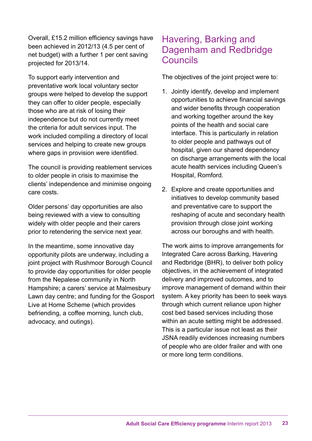Overall, £15.2 million efficiency savings have been achieved in 2012/13 (4.5 per cent of net budget) with a further 1 per cent saving projected for 2013/14.

To support early intervention and preventative work local voluntary sector groups were helped to develop the support they can offer to older people, especially those who are at risk of losing their independence but do not currently meet the criteria for adult services input. The work included compiling a directory of local services and helping to create new groups where gaps in provision were identified.

The council is providing reablement services to older people in crisis to maximise the clients' independence and minimise ongoing care costs.

Older persons' day opportunities are also being reviewed with a view to consulting widely with older people and their carers prior to retendering the service next year.

In the meantime, some innovative day opportunity pilots are underway, including a joint project with Rushmoor Borough Council to provide day opportunities for older people from the Nepalese community in North Hampshire; a carers' service at Malmesbury Lawn day centre; and funding for the Gosport Live at Home Scheme (which provides befriending, a coffee morning, lunch club, advocacy, and outings).

### Havering, Barking and Dagenham and Redbridge Councils

The objectives of the joint project were to:

- 1. Jointly identify, develop and implement opportunities to achieve financial savings and wider benefits through cooperation and working together around the key points of the health and social care interface. This is particularly in relation to older people and pathways out of hospital, given our shared dependency on discharge arrangements with the local acute health services including Queen's Hospital, Romford.
- 2. Explore and create opportunities and initiatives to develop community based and preventative care to support the reshaping of acute and secondary health provision through close joint working across our boroughs and with health.

The work aims to improve arrangements for Integrated Care across Barking, Havering and Redbridge (BHR), to deliver both policy objectives, in the achievement of integrated delivery and improved outcomes, and to improve management of demand within their system. A key priority has been to seek ways through which current reliance upon higher cost bed based services including those within an acute setting might be addressed. This is a particular issue not least as their JSNA readily evidences increasing numbers of people who are older frailer and with one or more long term conditions.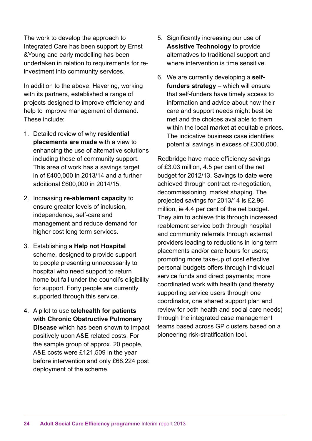The work to develop the approach to Integrated Care has been support by Ernst &Young and early modelling has been undertaken in relation to requirements for reinvestment into community services.

In addition to the above, Havering, working with its partners, established a range of projects designed to improve efficiency and help to improve management of demand. These include:

- 1. Detailed review of why **residential placements are made** with a view to enhancing the use of alternative solutions including those of community support. This area of work has a savings target in of £400,000 in 2013/14 and a further additional £600,000 in 2014/15.
- 2. Increasing **re-ablement capacity** to ensure greater levels of inclusion, independence, self-care and management and reduce demand for higher cost long term services.
- 3. Establishing a **Help not Hospital** scheme, designed to provide support to people presenting unnecessarily to hospital who need support to return home but fall under the council's eligibility for support. Forty people are currently supported through this service.
- 4. A pilot to use **telehealth for patients with Chronic Obstructive Pulmonary Disease** which has been shown to impact positively upon A&E related costs. For the sample group of approx. 20 people, A&E costs were £121,509 in the year before intervention and only £68,224 post deployment of the scheme.
- 5. Significantly increasing our use of **Assistive Technology** to provide alternatives to traditional support and where intervention is time sensitive.
- 6. We are currently developing a **selffunders strategy** – which will ensure that self-funders have timely access to information and advice about how their care and support needs might best be met and the choices available to them within the local market at equitable prices. The indicative business case identifies potential savings in excess of £300,000.

Redbridge have made efficiency savings of £3.03 million, 4.5 per cent of the net budget for 2012/13. Savings to date were achieved through contract re-negotiation, decommissioning, market shaping. The projected savings for 2013/14 is £2.96 million, ie 4.4 per cent of the net budget. They aim to achieve this through increased reablement service both through hospital and community referrals through external providers leading to reductions in long term placements and/or care hours for users; promoting more take-up of cost effective personal budgets offers through individual service funds and direct payments; more coordinated work with health (and thereby supporting service users through one coordinator, one shared support plan and review for both health and social care needs) through the integrated case management teams based across GP clusters based on a pioneering risk-stratification tool.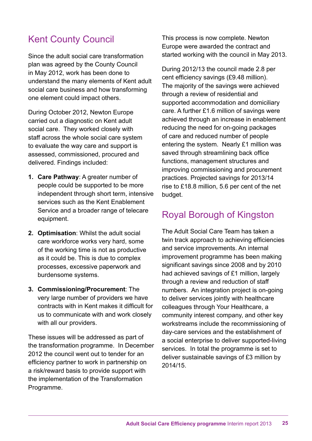# Kent County Council

Since the adult social care transformation plan was agreed by the County Council in May 2012, work has been done to understand the many elements of Kent adult social care business and how transforming one element could impact others.

During October 2012, Newton Europe carried out a diagnostic on Kent adult social care. They worked closely with staff across the whole social care system to evaluate the way care and support is assessed, commissioned, procured and delivered. Findings included:

- **1. Care Pathway**: A greater number of people could be supported to be more independent through short term, intensive services such as the Kent Enablement Service and a broader range of telecare equipment.
- **2. Optimisation**: Whilst the adult social care workforce works very hard, some of the working time is not as productive as it could be. This is due to complex processes, excessive paperwork and burdensome systems.
- **3. Commissioning/Procurement**: The very large number of providers we have contracts with in Kent makes it difficult for us to communicate with and work closely with all our providers.

These issues will be addressed as part of the transformation programme. In December 2012 the council went out to tender for an efficiency partner to work in partnership on a risk/reward basis to provide support with the implementation of the Transformation Programme.

This process is now complete. Newton Europe were awarded the contract and started working with the council in May 2013.

During 2012/13 the council made 2.8 per cent efficiency savings (£9.48 million). The majority of the savings were achieved through a review of residential and supported accommodation and domiciliary care. A further £1.6 million of savings were achieved through an increase in enablement reducing the need for on-going packages of care and reduced number of people entering the system. Nearly £1 million was saved through streamlining back office functions, management structures and improving commissioning and procurement practices. Projected savings for 2013/14 rise to £18.8 million, 5.6 per cent of the net budget.

## Royal Borough of Kingston

The Adult Social Care Team has taken a twin track approach to achieving efficiencies and service improvements. An internal improvement programme has been making significant savings since 2008 and by 2010 had achieved savings of £1 million, largely through a review and reduction of staff numbers. An integration project is on-going to deliver services jointly with healthcare colleagues through Your Healthcare, a community interest company, and other key workstreams include the recommissioning of day-care services and the establishment of a social enterprise to deliver supported-living services. In total the programme is set to deliver sustainable savings of £3 million by 2014/15.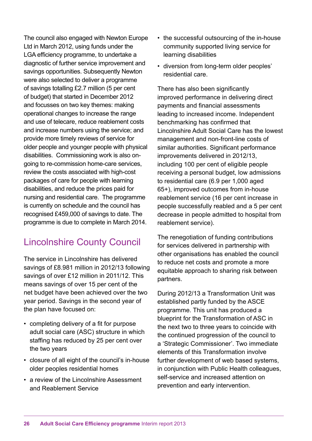The council also engaged with Newton Europe Ltd in March 2012, using funds under the LGA efficiency programme, to undertake a diagnostic of further service improvement and savings opportunities. Subsequently Newton were also selected to deliver a programme of savings totalling £2.7 million (5 per cent of budget) that started in December 2012 and focusses on two key themes: making operational changes to increase the range and use of telecare, reduce reablement costs and increase numbers using the service; and provide more timely reviews of service for older people and younger people with physical disabilities. Commissioning work is also ongoing to re-commission home-care services, review the costs associated with high-cost packages of care for people with learning disabilities, and reduce the prices paid for nursing and residential care. The programme is currently on schedule and the council has recognised £459,000 of savings to date. The programme is due to complete in March 2014.

# Lincolnshire County Council

The service in Lincolnshire has delivered savings of £8.981 million in 2012/13 following savings of over £12 million in 2011/12. This means savings of over 15 per cent of the net budget have been achieved over the two year period. Savings in the second year of the plan have focused on:

- completing delivery of a fit for purpose adult social care (ASC) structure in which staffing has reduced by 25 per cent over the two years
- closure of all eight of the council's in-house older peoples residential homes
- a review of the Lincolnshire Assessment and Reablement Service
- the successful outsourcing of the in-house community supported living service for learning disabilities
- diversion from long-term older peoples' residential care.

There has also been significantly improved performance in delivering direct payments and financial assessments leading to increased income. Independent benchmarking has confirmed that Lincolnshire Adult Social Care has the lowest management and non-front-line costs of similar authorities. Significant performance improvements delivered in 2012/13, including 100 per cent of eligible people receiving a personal budget, low admissions to residential care (6.9 per 1,000 aged 65+), improved outcomes from in-house reablement service (16 per cent increase in people successfully reabled and a 5 per cent decrease in people admitted to hospital from reablement service).

The renegotiation of funding contributions for services delivered in partnership with other organisations has enabled the council to reduce net costs and promote a more equitable approach to sharing risk between partners.

During 2012/13 a Transformation Unit was established partly funded by the ASCE programme. This unit has produced a blueprint for the Transformation of ASC in the next two to three years to coincide with the continued progression of the council to a 'Strategic Commissioner'. Two immediate elements of this Transformation involve further development of web based systems, in conjunction with Public Health colleagues, self-service and increased attention on prevention and early intervention.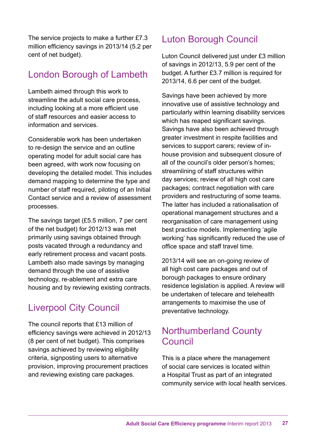The service projects to make a further £7.3 million efficiency savings in 2013/14 (5.2 per cent of net budget).

# London Borough of Lambeth

Lambeth aimed through this work to streamline the adult social care process, including looking at a more efficient use of staff resources and easier access to information and services.

Considerable work has been undertaken to re-design the service and an outline operating model for adult social care has been agreed, with work now focusing on developing the detailed model. This includes demand mapping to determine the type and number of staff required, piloting of an Initial Contact service and a review of assessment processes.

The savings target (£5.5 million, 7 per cent of the net budget) for 2012/13 was met primarily using savings obtained through posts vacated through a redundancy and early retirement process and vacant posts. Lambeth also made savings by managing demand through the use of assistive technology, re-ablement and extra care housing and by reviewing existing contracts.

# Liverpool City Council

The council reports that £13 million of efficiency savings were achieved in 2012/13 (8 per cent of net budget). This comprises savings achieved by reviewing eligibility criteria, signposting users to alternative provision, improving procurement practices and reviewing existing care packages.

# Luton Borough Council

Luton Council delivered just under £3 million of savings in 2012/13, 5.9 per cent of the budget. A further £3.7 million is required for 2013/14, 6.6 per cent of the budget.

Savings have been achieved by more innovative use of assistive technology and particularly within learning disability services which has reaped significant savings. Savings have also been achieved through greater investment in respite facilities and services to support carers; review of inhouse provision and subsequent closure of all of the council's older person's homes; streamlining of staff structures within day services; review of all high cost care packages; contract negotiation with care providers and restructuring of some teams. The latter has included a rationalisation of operational management structures and a reorganisation of care management using best practice models. Implementing 'agile working' has significantly reduced the use of office space and staff travel time.

2013/14 will see an on-going review of all high cost care packages and out of borough packages to ensure ordinary residence legislation is applied. A review will be undertaken of telecare and telehealth arrangements to maximise the use of preventative technology.

## Northumberland County Council

This is a place where the management of social care services is located within a Hospital Trust as part of an integrated community service with local health services.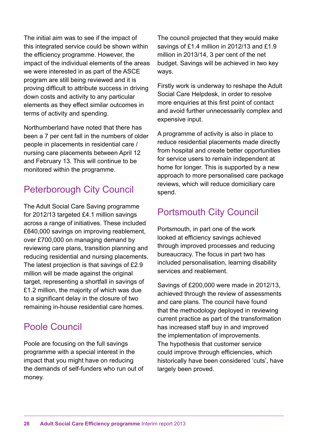The initial aim was to see if the impact of this integrated service could be shown within the efficiency programme. However, the impact of the individual elements of the areas we were interested in as part of the ASCE program are still being reviewed and it is proving difficult to attribute success in driving down costs and activity to any particular elements as they effect similar outcomes in terms of activity and spending.

Northumberland have noted that there has been a 7 per cent fall in the numbers of older people in placements in residential care / nursing care placements between April 12 and February 13. This will continue to be monitored within the programme.

# Peterborough City Council

The Adult Social Care Saving programme for 2012/13 targeted £4.1 million savings across a range of initiatives. These included £640,000 savings on improving reablement, over £700,000 on managing demand by reviewing care plans, transition planning and reducing residential and nursing placements. The latest projection is that savings of £2.9 million will be made against the original target, representing a shortfall in savings of £1.2 million, the majority of which was due to a significant delay in the closure of two remaining in-house residential care homes.

#### Poole Council

Poole are focusing on the full savings programme with a special interest in the impact that you might have on reducing the demands of self-funders who run out of money.

The council projected that they would make savings of £1.4 million in 2012/13 and £1.9 million in 2013/14, 3 per cent of the net budget. Savings will be achieved in two key ways.

Firstly work is underway to reshape the Adult Social Care Helpdesk, in order to resolve more enquiries at this first point of contact and avoid further unnecessarily complex and expensive input.

A programme of activity is also in place to reduce residential placements made directly from hospital and create better opportunities for service users to remain independent at home for longer. This is supported by a new approach to more personalised care package reviews, which will reduce domiciliary care spend.

## Portsmouth City Council

Portsmouth, in part one of the work looked at efficiency savings achieved through improved processes and reducing bureaucracy. The focus in part two has included personalisation, learning disability services and reablement.

Savings of £200,000 were made in 2012/13, achieved through the review of assessments and care plans. The council have found that the methodology deployed in reviewing current practice as part of the transformation has increased staff buy in and improved the implementation of improvements. The hypothesis that customer service could improve through efficiencies, which historically have been considered 'cuts', have largely been proved.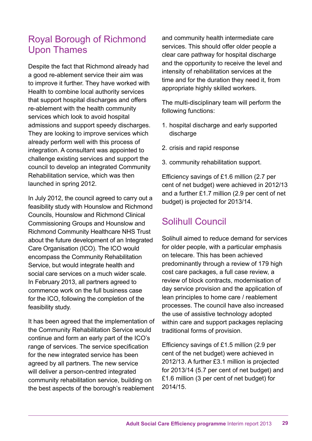## Royal Borough of Richmond Upon Thames

Despite the fact that Richmond already had a good re-ablement service their aim was to improve it further. They have worked with Health to combine local authority services that support hospital discharges and offers re-ablement with the health community services which look to avoid hospital admissions and support speedy discharges. They are looking to improve services which already perform well with this process of integration. A consultant was appointed to challenge existing services and support the council to develop an integrated Community Rehabilitation service, which was then launched in spring 2012.

In July 2012, the council agreed to carry out a feasibility study with Hounslow and Richmond Councils, Hounslow and Richmond Clinical Commissioning Groups and Hounslow and Richmond Community Healthcare NHS Trust about the future development of an Integrated Care Organisation (ICO). The ICO would encompass the Community Rehabilitation Service, but would integrate health and social care services on a much wider scale. In February 2013, all partners agreed to commence work on the full business case for the ICO, following the completion of the feasibility study.

It has been agreed that the implementation of the Community Rehabilitation Service would continue and form an early part of the ICO's range of services. The service specification for the new integrated service has been agreed by all partners. The new service will deliver a person-centred integrated community rehabilitation service, building on the best aspects of the borough's reablement

and community health intermediate care services. This should offer older people a clear care pathway for hospital discharge and the opportunity to receive the level and intensity of rehabilitation services at the time and for the duration they need it, from appropriate highly skilled workers.

The multi-disciplinary team will perform the following functions:

- 1. hospital discharge and early supported discharge
- 2. crisis and rapid response
- 3. community rehabilitation support.

Efficiency savings of £1.6 million (2.7 per cent of net budget) were achieved in 2012/13 and a further £1.7 million (2.9 per cent of net budget) is projected for 2013/14.

# Solihull Council

Solihull aimed to reduce demand for services for older people, with a particular emphasis on telecare. This has been achieved predominantly through a review of 179 high cost care packages, a full case review, a review of block contracts, modernisation of day service provision and the application of lean principles to home care / reablement processes. The council have also increased the use of assistive technology adopted within care and support packages replacing traditional forms of provision.

Efficiency savings of £1.5 million (2.9 per cent of the net budget) were achieved in 2012/13. A further £3.1 million is projected for 2013/14 (5.7 per cent of net budget) and £1.6 million (3 per cent of net budget) for 2014/15.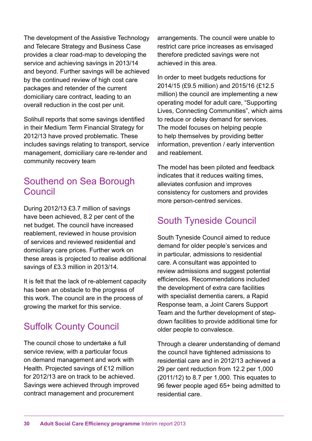The development of the Assistive Technology and Telecare Strategy and Business Case provides a clear road-map to developing the service and achieving savings in 2013/14 and beyond. Further savings will be achieved by the continued review of high cost care packages and retender of the current domiciliary care contract, leading to an overall reduction in the cost per unit.

Solihull reports that some savings identified in their Medium Term Financial Strategy for 2012/13 have proved problematic. These includes savings relating to transport, service management, domiciliary care re-tender and community recovery team

### Southend on Sea Borough Council

During 2012/13 £3.7 million of savings have been achieved, 8.2 per cent of the net budget. The council have increased reablement, reviewed in house provision of services and reviewed residential and domiciliary care prices. Further work on these areas is projected to realise additional savings of £3.3 million in 2013/14.

It is felt that the lack of re-ablement capacity has been an obstacle to the progress of this work. The council are in the process of growing the market for this service.

# Suffolk County Council

The council chose to undertake a full service review, with a particular focus on demand management and work with Health. Projected savings of £12 million for 2012/13 are on track to be achieved. Savings were achieved through improved contract management and procurement

arrangements. The council were unable to restrict care price increases as envisaged therefore predicted savings were not achieved in this area.

In order to meet budgets reductions for 2014/15 (£9.5 million) and 2015/16 (£12.5 million) the council are implementing a new operating model for adult care, "Supporting Lives, Connecting Communities", which aims to reduce or delay demand for services. The model focuses on helping people to help themselves by providing better information, prevention / early intervention and reablement.

The model has been piloted and feedback indicates that it reduces waiting times, alleviates confusion and improves consistency for customers and provides more person-centred services.

# South Tyneside Council

South Tyneside Council aimed to reduce demand for older people's services and in particular, admissions to residential care. A consultant was appointed to review admissions and suggest potential efficiencies. Recommendations included the development of extra care facilities with specialist dementia carers, a Rapid Response team, a Joint Carers Support Team and the further development of stepdown facilities to provide additional time for older people to convalesce.

Through a clearer understanding of demand the council have tightened admissions to residential care and in 2012/13 achieved a 29 per cent reduction from 12.2 per 1,000 (2011/12) to 8.7 per 1,000. This equates to 96 fewer people aged 65+ being admitted to residential care.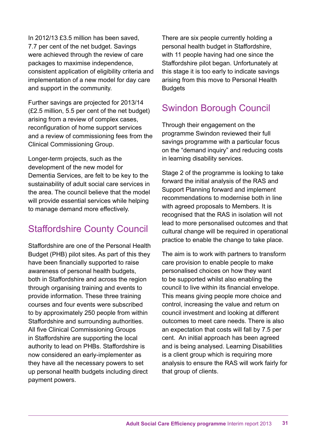In 2012/13 £3.5 million has been saved, 7.7 per cent of the net budget. Savings were achieved through the review of care packages to maximise independence, consistent application of eligibility criteria and implementation of a new model for day care and support in the community.

Further savings are projected for 2013/14 (£2.5 million, 5.5 per cent of the net budget) arising from a review of complex cases, reconfiguration of home support services and a review of commissioning fees from the Clinical Commissioning Group.

Longer-term projects, such as the development of the new model for Dementia Services, are felt to be key to the sustainability of adult social care services in the area. The council believe that the model will provide essential services while helping to manage demand more effectively.

# Staffordshire County Council

Staffordshire are one of the Personal Health Budget (PHB) pilot sites. As part of this they have been financially supported to raise awareness of personal health budgets, both in Staffordshire and across the region through organising training and events to provide information. These three training courses and four events were subscribed to by approximately 250 people from within Staffordshire and surrounding authorities. All five Clinical Commissioning Groups in Staffordshire are supporting the local authority to lead on PHBs. Staffordshire is now considered an early-implementer as they have all the necessary powers to set up personal health budgets including direct payment powers.

There are six people currently holding a personal health budget in Staffordshire, with 11 people having had one since the Staffordshire pilot began. Unfortunately at this stage it is too early to indicate savings arising from this move to Personal Health **Budgets** 

# Swindon Borough Council

Through their engagement on the programme Swindon reviewed their full savings programme with a particular focus on the "demand inquiry" and reducing costs in learning disability services.

Stage 2 of the programme is looking to take forward the initial analysis of the RAS and Support Planning forward and implement recommendations to modernise both in line with agreed proposals to Members. It is recognised that the RAS in isolation will not lead to more personalised outcomes and that cultural change will be required in operational practice to enable the change to take place.

The aim is to work with partners to transform care provision to enable people to make personalised choices on how they want to be supported whilst also enabling the council to live within its financial envelope. This means giving people more choice and control, increasing the value and return on council investment and looking at different outcomes to meet care needs. There is also an expectation that costs will fall by 7.5 per cent. An initial approach has been agreed and is being analysed. Learning Disabilities is a client group which is requiring more analysis to ensure the RAS will work fairly for that group of clients.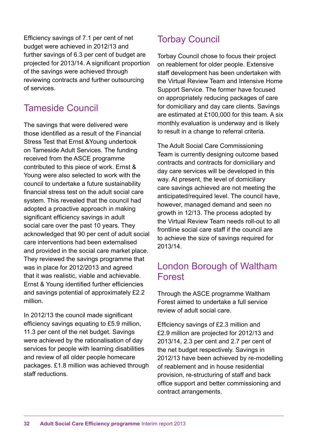Efficiency savings of 7.1 per cent of net budget were achieved in 2012/13 and further savings of 6.3 per cent of budget are projected for 2013/14. A significant proportion of the savings were achieved through reviewing contracts and further outsourcing of services.

## Tameside Council

The savings that were delivered were those identified as a result of the Financial Stress Test that Ernst &Young undertook on Tameside Adult Services. The funding received from the ASCE programme contributed to this piece of work. Ernst & Young were also selected to work with the council to undertake a future sustainability financial stress test on the adult social care system. This revealed that the council had adopted a proactive approach in making significant efficiency savings in adult social care over the past 10 years. They acknowledged that 90 per cent of adult social care interventions had been externalised and provided in the social care market place. They reviewed the savings programme that was in place for 2012/2013 and agreed that it was realistic, viable and achievable. Ernst & Young identified further efficiencies and savings potential of approximately £2.2 million.

In 2012/13 the council made significant efficiency savings equating to £5.9 million, 11.3 per cent of the net budget. Savings were achieved by the rationalisation of day services for people with learning disabilities and review of all older people homecare packages. £1.8 million was achieved through staff reductions.

# Torbay Council

Torbay Council chose to focus their project on reablement for older people. Extensive staff development has been undertaken with the Virtual Review Team and Intensive Home Support Service. The former have focused on appropriately reducing packages of care for domiciliary and day care clients. Savings are estimated at £100,000 for this team. A six monthly evaluation is underway and is likely to result in a change to referral criteria.

The Adult Social Care Commissioning Team is currently designing outcome based contracts and contracts for domiciliary and day care services will be developed in this way. At present, the level of domiciliary care savings achieved are not meeting the anticipated/required level. The council have, however, managed demand and seen no growth in 12/13. The process adopted by the Virtual Review Team needs roll-out to all frontline social care staff if the council are to achieve the size of savings required for 2013/14.

# London Borough of Waltham Forest

Through the ASCE programme Waltham Forest aimed to undertake a full service review of adult social care.

Efficiency savings of £2.3 million and £2.9 million are projected for 2012/13 and 2013/14, 2.3 per cent and 2.7 per cent of the net budget respectively. Savings in 2012/13 have been achieved by re-modelling of reablement and in house residential provision, re-structuring of staff and back office support and better commissioning and contract arrangements.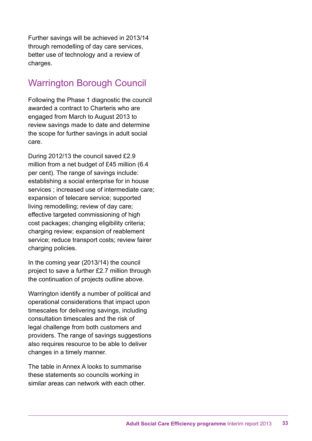Further savings will be achieved in 2013/14 through remodelling of day care services, better use of technology and a review of charges.

# Warrington Borough Council

Following the Phase 1 diagnostic the council awarded a contract to Charteris who are engaged from March to August 2013 to review savings made to date and determine the scope for further savings in adult social care.

During 2012/13 the council saved £2.9 million from a net budget of £45 million (6.4) per cent). The range of savings include: establishing a social enterprise for in house services ; increased use of intermediate care; expansion of telecare service; supported living remodelling; review of day care; effective targeted commissioning of high cost packages; changing eligibility criteria; charging review; expansion of reablement service; reduce transport costs; review fairer charging policies.

In the coming year (2013/14) the council project to save a further £2.7 million through the continuation of projects outline above.

Warrington identify a number of political and operational considerations that impact upon timescales for delivering savings, including consultation timescales and the risk of legal challenge from both customers and providers. The range of savings suggestions also requires resource to be able to deliver changes in a timely manner.

The table in Annex A looks to summarise these statements so councils working in similar areas can network with each other.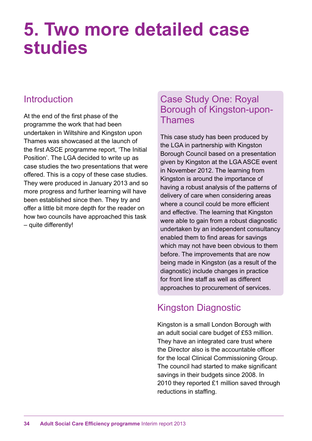# **5. Two more detailed case studies**

# Introduction

At the end of the first phase of the programme the work that had been undertaken in Wiltshire and Kingston upon Thames was showcased at the launch of the first ASCE programme report, 'The Initial Position'. The LGA decided to write up as case studies the two presentations that were offered. This is a copy of these case studies. They were produced in January 2013 and so more progress and further learning will have been established since then. They try and offer a little bit more depth for the reader on how two councils have approached this task – quite differently!

## Case Study One: Royal Borough of Kingston-upon-Thames

This case study has been produced by the LGA in partnership with Kingston Borough Council based on a presentation given by Kingston at the LGA ASCE event in November 2012. The learning from Kingston is around the importance of having a robust analysis of the patterns of delivery of care when considering areas where a council could be more efficient and effective. The learning that Kingston were able to gain from a robust diagnostic undertaken by an independent consultancy enabled them to find areas for savings which may not have been obvious to them before. The improvements that are now being made in Kingston (as a result of the diagnostic) include changes in practice for front line staff as well as different approaches to procurement of services.

# Kingston Diagnostic

Kingston is a small London Borough with an adult social care budget of £53 million. They have an integrated care trust where the Director also is the accountable officer for the local Clinical Commissioning Group. The council had started to make significant savings in their budgets since 2008. In 2010 they reported £1 million saved through reductions in staffing.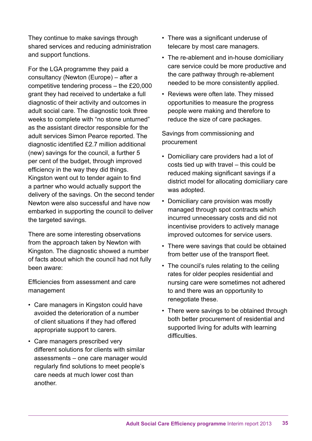They continue to make savings through shared services and reducing administration and support functions.

For the LGA programme they paid a consultancy (Newton (Europe) – after a competitive tendering process – the £20,000 grant they had received to undertake a full diagnostic of their activity and outcomes in adult social care. The diagnostic took three weeks to complete with "no stone unturned" as the assistant director responsible for the adult services Simon Pearce reported. The diagnostic identified £2.7 million additional (new) savings for the council, a further 5 per cent of the budget, through improved efficiency in the way they did things. Kingston went out to tender again to find a partner who would actually support the delivery of the savings. On the second tender Newton were also successful and have now embarked in supporting the council to deliver the targeted savings.

There are some interesting observations from the approach taken by Newton with Kingston. The diagnostic showed a number of facts about which the council had not fully been aware:

Efficiencies from assessment and care management

- Care managers in Kingston could have avoided the deterioration of a number of client situations if they had offered appropriate support to carers.
- Care managers prescribed very different solutions for clients with similar assessments – one care manager would regularly find solutions to meet people's care needs at much lower cost than another.
- There was a significant underuse of telecare by most care managers.
- The re-ablement and in-house domiciliary care service could be more productive and the care pathway through re-ablement needed to be more consistently applied.
- Reviews were often late. They missed opportunities to measure the progress people were making and therefore to reduce the size of care packages.

Savings from commissioning and procurement

- Domiciliary care providers had a lot of costs tied up with travel – this could be reduced making significant savings if a district model for allocating domiciliary care was adopted.
- Domiciliary care provision was mostly managed through spot contracts which incurred unnecessary costs and did not incentivise providers to actively manage improved outcomes for service users.
- There were savings that could be obtained from better use of the transport fleet.
- The council's rules relating to the ceiling rates for older peoples residential and nursing care were sometimes not adhered to and there was an opportunity to renegotiate these.
- There were savings to be obtained through both better procurement of residential and supported living for adults with learning difficulties.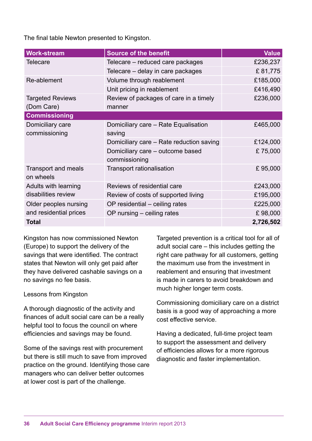The final table Newton presented to Kingston.

| <b>Work-stream</b>                              | <b>Source of the benefit</b>                      | <b>Value</b> |
|-------------------------------------------------|---------------------------------------------------|--------------|
| Telecare                                        | Telecare – reduced care packages                  | £236,237     |
|                                                 | Telecare - delay in care packages                 | £81,775      |
| Re-ablement                                     | Volume through reablement                         | £185,000     |
|                                                 | Unit pricing in reablement                        | £416,490     |
| <b>Targeted Reviews</b><br>(Dom Care)           | Review of packages of care in a timely<br>manner  | £236,000     |
| <b>Commissioning</b>                            |                                                   |              |
| Domiciliary care<br>commissioning               | Domiciliary care – Rate Equalisation<br>saving    | £465,000     |
|                                                 | Domiciliary care – Rate reduction saving          | £124,000     |
|                                                 | Domiciliary care – outcome based<br>commissioning | £75,000      |
| <b>Transport and meals</b><br>on wheels         | <b>Transport rationalisation</b>                  | £95,000      |
| Adults with learning<br>disabilities review     | Reviews of residential care                       | £243,000     |
|                                                 | Review of costs of supported living               | £195,000     |
| Older peoples nursing<br>and residential prices | OP residential - ceiling rates                    | £225,000     |
|                                                 | OP nursing – ceiling rates                        | £98,000      |
| <b>Total</b>                                    |                                                   | 2,726,502    |

Kingston has now commissioned Newton (Europe) to support the delivery of the savings that were identified. The contract states that Newton will only get paid after they have delivered cashable savings on a no savings no fee basis.

#### Lessons from Kingston

A thorough diagnostic of the activity and finances of adult social care can be a really helpful tool to focus the council on where efficiencies and savings may be found.

Some of the savings rest with procurement but there is still much to save from improved practice on the ground. Identifying those care managers who can deliver better outcomes at lower cost is part of the challenge.

Targeted prevention is a critical tool for all of adult social care – this includes getting the right care pathway for all customers, getting the maximum use from the investment in reablement and ensuring that investment is made in carers to avoid breakdown and much higher longer term costs.

Commissioning domiciliary care on a district basis is a good way of approaching a more cost effective service.

Having a dedicated, full-time project team to support the assessment and delivery of efficiencies allows for a more rigorous diagnostic and faster implementation.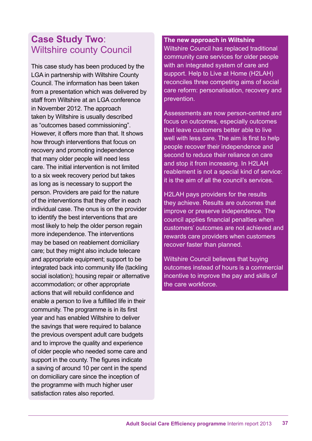### **Case Study Two**: Wiltshire county Council

This case study has been produced by the LGA in partnership with Wiltshire County Council. The information has been taken from a presentation which was delivered by staff from Wiltshire at an LGA conference in November 2012. The approach taken by Wiltshire is usually described as "outcomes based commissioning". However, it offers more than that. It shows how through interventions that focus on recovery and promoting independence that many older people will need less care. The initial intervention is not limited to a six week recovery period but takes as long as is necessary to support the person. Providers are paid for the nature of the interventions that they offer in each individual case. The onus is on the provider to identify the best interventions that are most likely to help the older person regain more independence. The interventions may be based on reablement domiciliary care; but they might also include telecare and appropriate equipment; support to be integrated back into community life (tackling social isolation); housing repair or alternative accommodation; or other appropriate actions that will rebuild confidence and enable a person to live a fulfilled life in their community. The programme is in its first year and has enabled Wiltshire to deliver the savings that were required to balance the previous overspent adult care budgets and to improve the quality and experience of older people who needed some care and support in the county. The figures indicate a saving of around 10 per cent in the spend on domiciliary care since the inception of the programme with much higher user satisfaction rates also reported.

#### **The new approach in Wiltshire**

Wiltshire Council has replaced traditional community care services for older people with an integrated system of care and support. Help to Live at Home (H2LAH) reconciles three competing aims of social care reform: personalisation, recovery and prevention.

Assessments are now person-centred and focus on outcomes, especially outcomes that leave customers better able to live well with less care. The aim is first to help people recover their independence and second to reduce their reliance on care and stop it from increasing. In H2LAH reablement is not a special kind of service: it is the aim of all the council's services.

H2LAH pays providers for the results they achieve. Results are outcomes that improve or preserve independence. The council applies financial penalties when customers' outcomes are not achieved and rewards care providers when customers recover faster than planned.

Wiltshire Council believes that buying outcomes instead of hours is a commercial incentive to improve the pay and skills of the care workforce.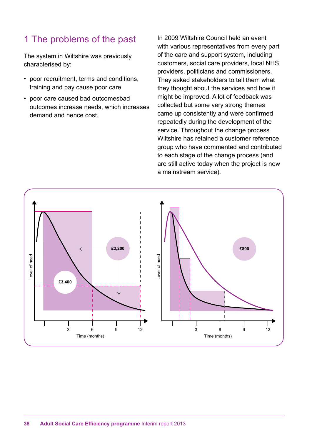# 1 The problems of the past

The system in Wiltshire was previously characterised by:

- poor recruitment, terms and conditions, training and pay cause poor care
- poor care caused bad outcomesbad *Bureaucracy Managing demands of the poor care caused bad outcomesbad* outcomes increase needs, which increases demand and hence cost.

In 2009 Wiltshire Council held an event with various representatives from every part of the care and support system, including customers, social care providers, local NHS providers, politicians and commissioners. They asked stakeholders to tell them what they thought about the services and how it might be improved. A lot of feedback was collected but some very strong themes came up consistently and were confirmed repeatedly during the development of the service. Throughout the change process Wiltshire has retained a customer reference group who have commented and contributed to each stage of the change process (and are still active today when the project is now a mainstream service). 25% vent

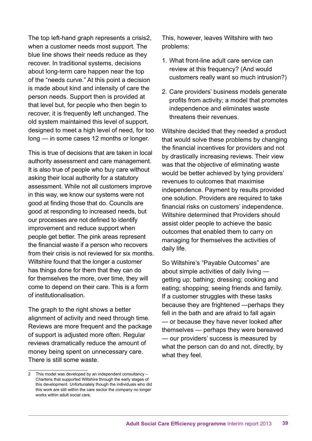The top left-hand graph represents a crisis2, when a customer needs most support. The blue line shows their needs reduce as they recover. In traditional systems, decisions about long-term care happen near the top of the "needs curve." At this point a decision is made about kind and intensity of care the person needs. Support then is provided at that level but, for people who then begin to recover, it is frequently left unchanged. The old system maintained this level of support, designed to meet a high level of need, for too long — in some cases 12 months or longer.

This is true of decisions that are taken in local authority assessment and care management. It is also true of people who buy care without asking their local authority for a statutory assessment. While not all customers improve in this way, we know our systems were not good at finding those that do. Councils are good at responding to increased needs, but our processes are not defined to identify improvement and reduce support when people get better. The pink areas represent the financial waste if a person who recovers from their crisis is not reviewed for six months. Wiltshire found that the longer a customer has things done for them that they can do for themselves the more, over time, they will come to depend on their care. This is a form of institutionalisation.

The graph to the right shows a better alignment of activity and need through time. Reviews are more frequent and the package of support is adjusted more often. Regular reviews dramatically reduce the amount of money being spent on unnecessary care. There is still some waste.

This, however, leaves Wiltshire with two problems:

- 1. What front-line adult care service can review at this frequency? (And would customers really want so much intrusion?)
- 2. Care providers' business models generate profits from activity; a model that promotes independence and eliminates waste threatens their revenues.

Wiltshire decided that they needed a product that would solve these problems by changing the financial incentives for providers and not by drastically increasing reviews. Their view was that the objective of eliminating waste would be better achieved by tying providers' revenues to outcomes that maximise independence. Payment by results provided one solution. Providers are required to take financial risks on customers' independence. Wiltshire determined that Providers should assist older people to achieve the basic outcomes that enabled them to carry on managing for themselves the activities of daily life.

So Wiltshire's "Payable Outcomes" are about simple activities of daily living getting up; bathing; dressing; cooking and eating; shopping; seeing friends and family. If a customer struggles with these tasks because they are frightened —perhaps they fell in the bath and are afraid to fall again — or because they have never looked after themselves — perhaps they were bereaved — our providers' success is measured by what the person can do and not, directly, by what they feel.

<sup>2</sup> This model was developed by an independent consultancy – Charteris that supported Wiltshire through the early stages of this development. Unfortunately though the individuals who did this work are still within the care sector the company no longer works within adult social care.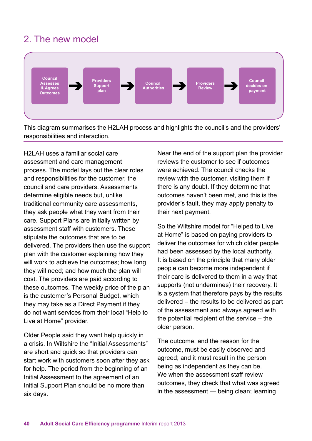# 2. The new model



This diagram summarises the H2LAH process and highlights the council's and the providers' responsibilities and interaction.

H2LAH uses a familiar social care assessment and care management process. The model lays out the clear roles and responsibilities for the customer, the council and care providers. Assessments determine eligible needs but, unlike traditional community care assessments, they ask people what they want from their care. Support Plans are initially written by assessment staff with customers. These stipulate the outcomes that are to be delivered. The providers then use the support *100%* plan with the customer explaining how they will work to achieve the outcomes; how long *80%* they will need; and how much the plan will *<sup>176</sup> <sup>13</sup> <sup>18</sup> 17* cost. The providers are paid according to *60%* these outcomes. The weekly price of the plan is the customer's Personal Budget, which *40%* they may take as a Direct Payment if they *8 3 53* do not want services from their local "Help to *20% 4* Live at Home" provider. *53 5 18 6 <sup>2</sup> <sup>5</sup> <sup>3</sup>*

Older People said they want help quickly in Older People said they want help quickly in<br>a crisis. In Wiltshire the "Initial Assessments" are short and quick so that providers can start work with customers soon after they ask for help. The period from the beginning of an *Same or more support needed* Initial Assessment to the agreement of an Initial Support Plan should be no more than six days.

Near the end of the support plan the provider reviews the customer to see if outcomes were achieved. The council checks the review with the customer, visiting them if there is any doubt. If they determine that outcomes haven't been met, and this is the provider's fault, they may apply penalty to their next payment.

So the Wiltshire model for "Helped to Live at Home" is based on paying providers to deliver the outcomes for which older people had been assessed by the local authority. It is based on the principle that many older *19* people can become more independent if *<sup>7</sup> <sup>33</sup> 51* their care is delivered to them in a way that supports (not undermines) their recovery. It *9* is a system that therefore pays by the results delivered – the results to be delivered as part *7* of the assessment and always agreed with *13* the potential recipient of the service – the *14* older person. *7 3 17*

*Fhe outcome, and the reason for the entreme must* be easily observed and outcome, must be easily observed and agreed; and it must result in the person being as independent as they can be. We when the assessment staff review outcomes, they check that what was agreed in the assessment — being clean; learning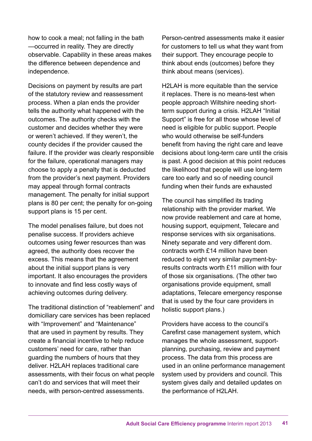how to cook a meal; not falling in the bath —occurred in reality. They are directly observable. Capability in these areas makes the difference between dependence and independence.

Decisions on payment by results are part of the statutory review and reassessment process. When a plan ends the provider tells the authority what happened with the outcomes. The authority checks with the customer and decides whether they were or weren't achieved. If they weren't, the county decides if the provider caused the failure. If the provider was clearly responsible for the failure, operational managers may choose to apply a penalty that is deducted from the provider's next payment. Providers may appeal through formal contracts management. The penalty for initial support plans is 80 per cent; the penalty for on-going support plans is 15 per cent.

The model penalises failure, but does not penalise success. If providers achieve outcomes using fewer resources than was agreed, the authority does recover the excess. This means that the agreement about the initial support plans is very important. It also encourages the providers to innovate and find less costly ways of achieving outcomes during delivery.

The traditional distinction of "reablement" and domiciliary care services has been replaced with "Improvement" and "Maintenance" that are used in payment by results. They create a financial incentive to help reduce customers' need for care, rather than guarding the numbers of hours that they deliver. H2LAH replaces traditional care assessments, with their focus on what people can't do and services that will meet their needs, with person-centred assessments.

Person-centred assessments make it easier for customers to tell us what they want from their support. They encourage people to think about ends (outcomes) before they think about means (services).

H2LAH is more equitable than the service it replaces. There is no means-test when people approach Wiltshire needing shortterm support during a crisis. H2LAH "Initial Support" is free for all those whose level of need is eligible for public support. People who would otherwise be self-funders benefit from having the right care and leave decisions about long-term care until the crisis is past. A good decision at this point reduces the likelihood that people will use long-term care too early and so of needing council funding when their funds are exhausted

The council has simplified its trading relationship with the provider market. We now provide reablement and care at home, housing support, equipment, Telecare and response services with six organisations. Ninety separate and very different dom. contracts worth £14 million have been reduced to eight very similar payment-byresults contracts worth £11 million with four of those six organisations. (The other two organisations provide equipment, small adaptations, Telecare emergency response that is used by the four care providers in holistic support plans.)

Providers have access to the council's Carefirst case management system, which manages the whole assessment, supportplanning, purchasing, review and payment process. The data from this process are used in an online performance management system used by providers and council. This system gives daily and detailed updates on the performance of H2LAH.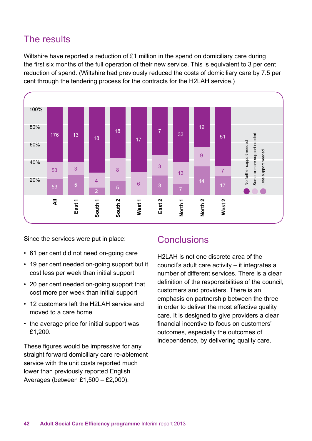# The results

Wiltshire have reported a reduction of £1 million in the spend on domiciliary care during *Reflection of the full operation of their new service. This is equivalent to 3 per cent the first six months of the full operation of their new service. This is equivalent to 3 per cent* reduction of spend. (Wiltshire had previously reduced the costs of domiciliary care by 7.5 per cent through the tendering process for the contracts for the H2LAH service.) *Providers*



Since the services were put in place:

- **•** 61 per cent did not need on-going care
- 19 per cent needed on-going support but it cost less per week than initial support
- 20 per cent needed on-going support that cost more per week than initial support
- 12 customers left the H2LAH service and moved to a care home
- the average price for initial support was £1,200.

These figures would be impressive for any straight forward domiciliary care re-ablement service with the unit costs reported much lower than previously reported English Averages (between £1,500 – £2,000).

#### **Conclusions**

H2LAH is not one discrete area of the council's adult care activity – it integrates a number of different services. There is a clear definition of the responsibilities of the council, customers and providers. There is an emphasis on partnership between the three in order to deliver the most effective quality care. It is designed to give providers a clear financial incentive to focus on customers' outcomes, especially the outcomes of independence, by delivering quality care.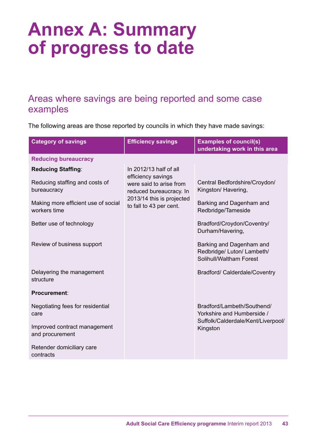# **Annex A: Summary of progress to date**

## Areas where savings are being reported and some case examples

The following areas are those reported by councils in which they have made savings:

| <b>Category of savings</b>                          | <b>Efficiency savings</b>                                                | <b>Examples of council(s)</b><br>undertaking work in this area                    |
|-----------------------------------------------------|--------------------------------------------------------------------------|-----------------------------------------------------------------------------------|
| <b>Reducing bureaucracy</b>                         |                                                                          |                                                                                   |
| <b>Reducing Staffing:</b>                           | In 2012/13 half of all                                                   |                                                                                   |
| Reducing staffing and costs of<br>bureaucracy       | efficiency savings<br>were said to arise from<br>reduced bureaucracy. In | Central Bedfordshire/Croydon/<br>Kingston/Havering,                               |
| Making more efficient use of social<br>workers time | 2013/14 this is projected<br>to fall to 43 per cent.                     | Barking and Dagenham and<br>Redbridge/Tameside                                    |
| Better use of technology                            |                                                                          | Bradford/Croydon/Coventry/<br>Durham/Havering,                                    |
| Review of business support                          |                                                                          | Barking and Dagenham and<br>Redbridge/ Luton/ Lambeth/<br>Solihull/Waltham Forest |
| Delayering the management<br>structure              |                                                                          | Bradford/ Calderdale/Coventry                                                     |
| Procurement:                                        |                                                                          |                                                                                   |
| Negotiating fees for residential<br>care            |                                                                          | Bradford/Lambeth/Southend/<br>Yorkshire and Humberside /                          |
| Improved contract management<br>and procurement     |                                                                          | Suffolk/Calderdale/Kent/Liverpool/<br>Kingston                                    |
| Retender domiciliary care<br>contracts              |                                                                          |                                                                                   |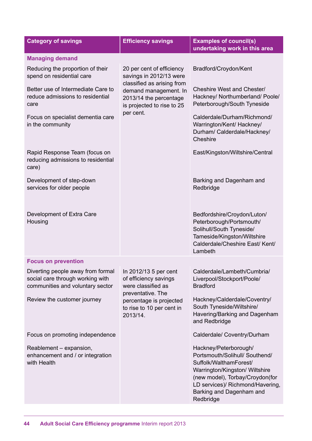| <b>Category of savings</b>                                                                                                        | <b>Efficiency savings</b>                                                                                   | <b>Examples of council(s)</b><br>undertaking work in this area                                                                                                                                                                      |
|-----------------------------------------------------------------------------------------------------------------------------------|-------------------------------------------------------------------------------------------------------------|-------------------------------------------------------------------------------------------------------------------------------------------------------------------------------------------------------------------------------------|
| <b>Managing demand</b>                                                                                                            |                                                                                                             |                                                                                                                                                                                                                                     |
| Reducing the proportion of their<br>spend on residential care                                                                     | 20 per cent of efficiency<br>savings in 2012/13 were                                                        | Bradford/Croydon/Kent                                                                                                                                                                                                               |
| Better use of Intermediate Care to<br>reduce admissions to residential<br>care                                                    | classified as arising from<br>demand management. In<br>2013/14 the percentage<br>is projected to rise to 25 | Cheshire West and Chester/<br>Hackney/ Northumberland/ Poole/<br>Peterborough/South Tyneside                                                                                                                                        |
| Focus on specialist dementia care<br>in the community                                                                             | per cent.                                                                                                   | Calderdale/Durham/Richmond/<br>Warrington/Kent/ Hackney/<br>Durham/ Calderdale/Hackney/<br>Cheshire                                                                                                                                 |
| Rapid Response Team (focus on<br>reducing admissions to residential<br>care)                                                      |                                                                                                             | East/Kingston/Wiltshire/Central                                                                                                                                                                                                     |
| Development of step-down<br>services for older people                                                                             |                                                                                                             | Barking and Dagenham and<br>Redbridge                                                                                                                                                                                               |
| Development of Extra Care<br>Housing                                                                                              |                                                                                                             | Bedfordshire/Croydon/Luton/<br>Peterborough/Portsmouth/<br>Solihull/South Tyneside/<br>Tameside/Kingston/Wiltshire<br>Calderdale/Cheshire East/ Kent/<br>Lambeth                                                                    |
| <b>Focus on prevention</b>                                                                                                        |                                                                                                             |                                                                                                                                                                                                                                     |
| Diverting people away from formal   In 2012/13 5 per cent<br>social care through working with<br>communities and voluntary sector | of efficiency savings<br>were classified as<br>preventative. The                                            | Calderdale/Lambeth/Cumbria/<br>Liverpool/Stockport/Poole/<br><b>Bradford</b>                                                                                                                                                        |
| Review the customer journey                                                                                                       | percentage is projected<br>to rise to 10 per cent in<br>2013/14.                                            | Hackney/Calderdale/Coventry/<br>South Tyneside/Wiltshire/<br>Havering/Barking and Dagenham<br>and Redbridge                                                                                                                         |
| Focus on promoting independence                                                                                                   |                                                                                                             | Calderdale/ Coventry/Durham                                                                                                                                                                                                         |
| Reablement - expansion,<br>enhancement and / or integration<br>with Health                                                        |                                                                                                             | Hackney/Peterborough/<br>Portsmouth/Solihull/ Southend/<br>Suffolk/WalthamForest/<br>Warrington/Kingston/ Wiltshire<br>(new model), Torbay/Croydon(for<br>LD services)/ Richmond/Havering,<br>Barking and Dagenham and<br>Redbridge |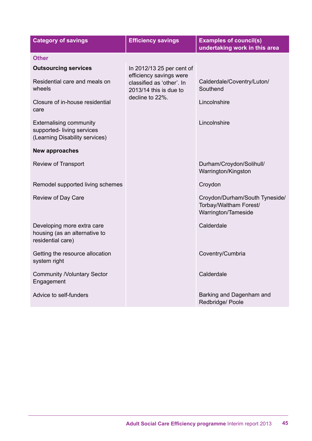| <b>Category of savings</b>                                                                    | <b>Efficiency savings</b>                                                        | <b>Examples of council(s)</b><br>undertaking work in this area                  |
|-----------------------------------------------------------------------------------------------|----------------------------------------------------------------------------------|---------------------------------------------------------------------------------|
| <b>Other</b>                                                                                  |                                                                                  |                                                                                 |
| <b>Outsourcing services</b>                                                                   | In 2012/13 25 per cent of                                                        |                                                                                 |
| Residential care and meals on<br>wheels                                                       | efficiency savings were<br>classified as 'other'. In<br>$2013/14$ this is due to | Calderdale/Coventry/Luton/<br>Southend                                          |
| Closure of in-house residential<br>care                                                       | decline to 22%.                                                                  | Lincolnshire                                                                    |
| <b>Externalising community</b><br>supported-living services<br>(Learning Disability services) |                                                                                  | Lincolnshire                                                                    |
| <b>New approaches</b>                                                                         |                                                                                  |                                                                                 |
| <b>Review of Transport</b>                                                                    |                                                                                  | Durham/Croydon/Solihull/<br>Warrington/Kingston                                 |
| Remodel supported living schemes                                                              |                                                                                  | Croydon                                                                         |
| Review of Day Care                                                                            |                                                                                  | Croydon/Durham/South Tyneside/<br>Torbay/Waltham Forest/<br>Warrington/Tameside |
| Developing more extra care<br>housing (as an alternative to<br>residential care)              |                                                                                  | Calderdale                                                                      |
| Getting the resource allocation<br>system right                                               |                                                                                  | Coventry/Cumbria                                                                |
| <b>Community /Voluntary Sector</b><br>Engagement                                              |                                                                                  | Calderdale                                                                      |
| Advice to self-funders                                                                        |                                                                                  | Barking and Dagenham and<br>Redbridge/ Poole                                    |